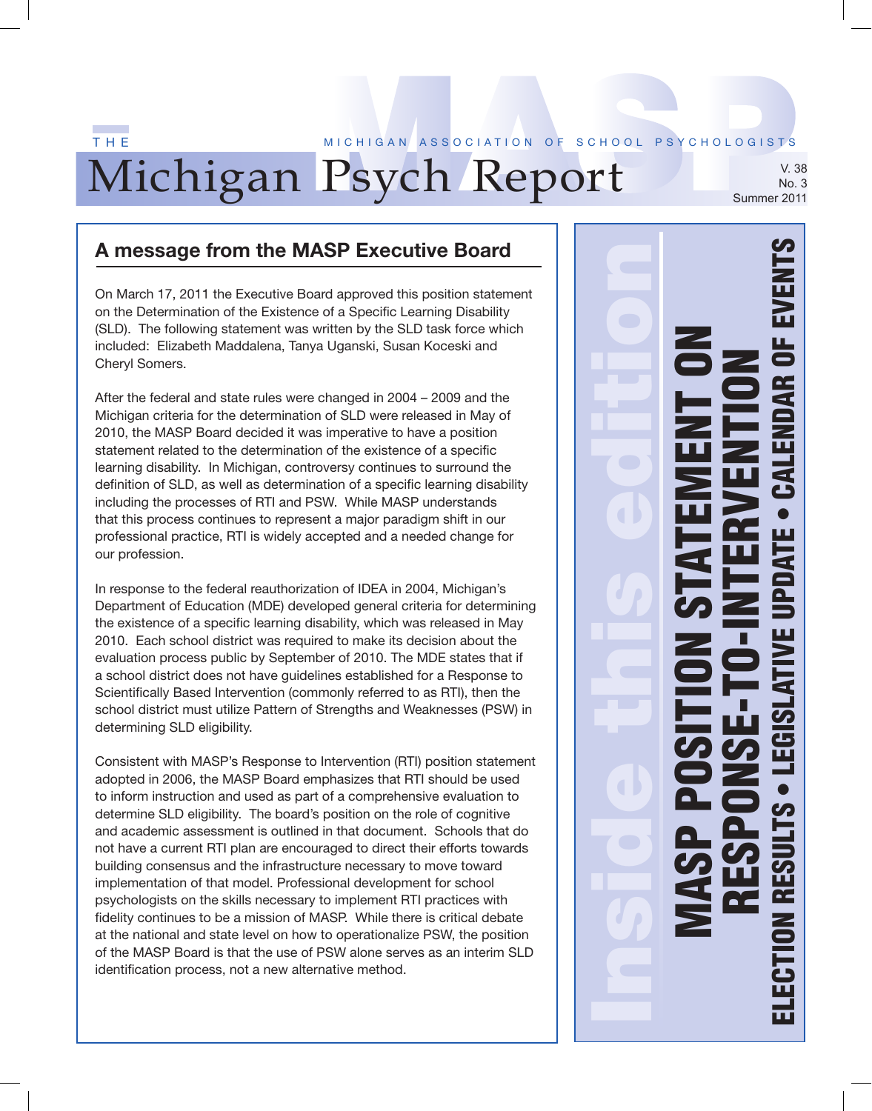#### Michigan Psych Report T H E M I C H I G AN ASSOCIATION OF SCHOOL PSYCHOLOGISTS V. 38 No. 3 Summer 2011

### **A message from the MASP Executive Board**

On March 17, 2011 the Executive Board approved this position statement on the Determination of the Existence of a Specific Learning Disability (SLD). The following statement was written by the SLD task force which included: Elizabeth Maddalena, Tanya Uganski, Susan Koceski and Cheryl Somers.

After the federal and state rules were changed in 2004 – 2009 and the Michigan criteria for the determination of SLD were released in May of 2010, the MASP Board decided it was imperative to have a position statement related to the determination of the existence of a specific learning disability. In Michigan, controversy continues to surround the definition of SLD, as well as determination of a specific learning disability including the processes of RTI and PSW. While MASP understands that this process continues to represent a major paradigm shift in our professional practice, RTI is widely accepted and a needed change for our profession.

In response to the federal reauthorization of IDEA in 2004, Michigan's Department of Education (MDE) developed general criteria for determining the existence of a specific learning disability, which was released in May 2010. Each school district was required to make its decision about the evaluation process public by September of 2010. The MDE states that if a school district does not have guidelines established for a Response to Scientifically Based Intervention (commonly referred to as RTI), then the school district must utilize Pattern of Strengths and Weaknesses (PSW) in determining SLD eligibility.

Consistent with MASP's Response to Intervention (RTI) position statement adopted in 2006, the MASP Board emphasizes that RTI should be used to inform instruction and used as part of a comprehensive evaluation to determine SLD eligibility. The board's position on the role of cognitive and academic assessment is outlined in that document. Schools that do not have a current RTI plan are encouraged to direct their efforts towards building consensus and the infrastructure necessary to move toward implementation of that model. Professional development for school psychologists on the skills necessary to implement RTI practices with fidelity continues to be a mission of MASP. While there is critical debate at the national and state level on how to operationalize PSW, the position of the MASP Board is that the use of PSW alone serves as an interim SLD identification process, not a new alternative method.

Inside this edition MASP POSITION STATEMENT ON RESPONSE-TO-INTERVENTION ELECTION RESULTS • LEGISLATIVE UPDATE • CALENDAR OF EVENTS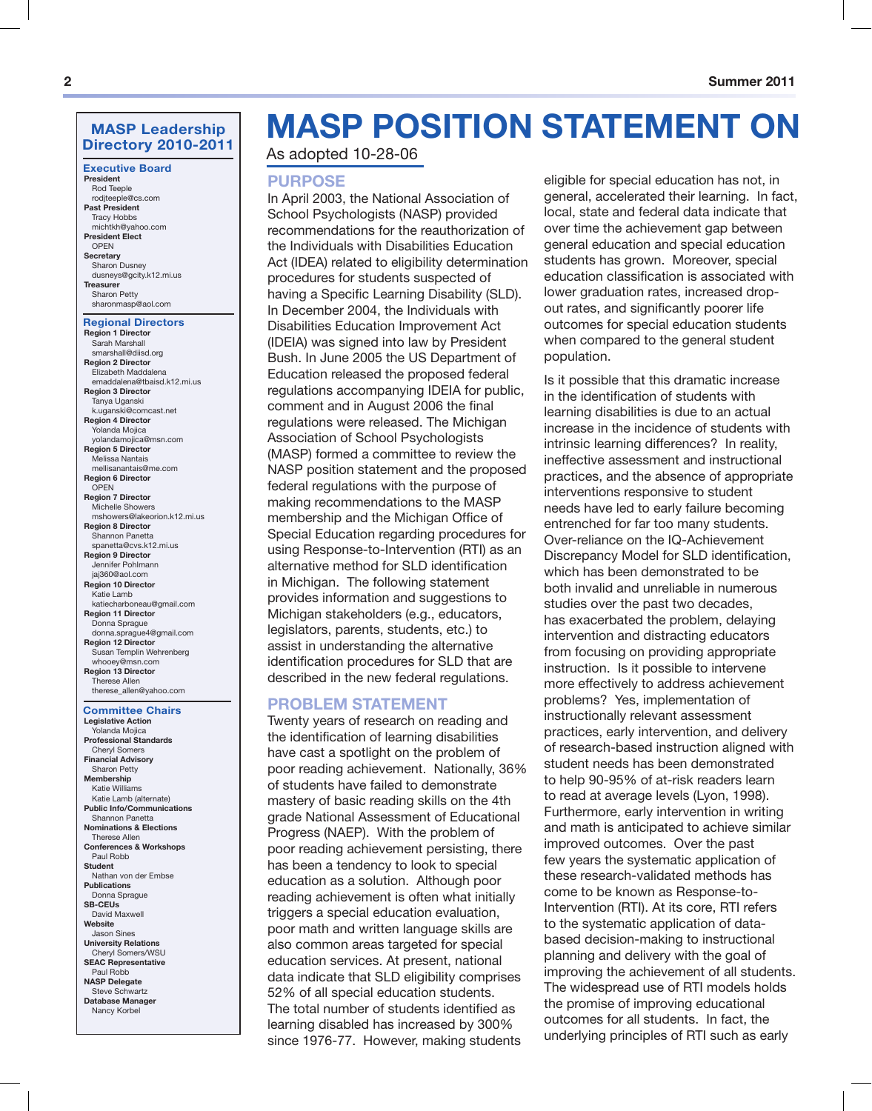#### **MASP Leadership Directory 2010-2011**

**Executive Board**

**President** Rod Teeple rodjteeple@cs.com **Past President** Tracy Hobbs michtkh@yahoo.com **President Elect** OPEN **Secretary** Sharon Dusney dusneys@gcity.k12.mi.us **Treasurer** Sharon Petty sharonmasp@aol.com

#### **Regional Directors**

**Region 1 Director** Sarah Marshall smarshall@diisd.org **Region 2 Director** Elizabeth Maddalena emaddalena@tbaisd.k12.mi.us **Region 3 Director** Tanya Uganski k.uganski@comcast.net **Region 4 Director** Yolanda Mojica yolandamojica@msn.com **Region 5 Director** Melissa Nantais mellisanantais@me.com **Region 6 Director OPEN Region 7 Director** Michelle Showers mshowers@lakeorion.k12.mi.us **Region 8 Director** Shannon Panetta spanetta@cvs.k12.mi.us **Region 9 Director** Jennifer Pohlmann jaj360@aol.com **Region 10 Director** Katie Lamb katiecharboneau@gmail.com **Region 11 Director** Donna Sprague donna.sprague4@gmail.com **Region 12 Director** Susan Templin Wehrenberg whooey@msn.com **Region 13 Director** Therese Allen therese\_allen@yahoo.com

#### **Committee Chairs Legislative Action** Yolanda Mojica **Professional Standards**

Cheryl Somers **Financial Advisory** Sharon Petty **Membership** Katie Williams Katie Lamb (alternate) **Public Info/Communications** Shannon Panetta **Nominations & Elections** Therese Allen **Conferences & Workshops** Paul Robb **Student** Nathan von der Embse **Publications** Donna Sprague **SB-CEUs** David Maxwell **Website** Jason Sines **University Relations** Cheryl Somers/WSU **SEAC Representative** Paul Robb **NASP Delegate** Steve Schwartz **Database Manager** Nancy Korbel

# **MASP POSITION STATEMENT ON**

As adopted 10-28-06

#### **PURPOSE**

In April 2003, the National Association of School Psychologists (NASP) provided recommendations for the reauthorization of the Individuals with Disabilities Education Act (IDEA) related to eligibility determination procedures for students suspected of having a Specific Learning Disability (SLD). In December 2004, the Individuals with Disabilities Education Improvement Act (IDEIA) was signed into law by President Bush. In June 2005 the US Department of Education released the proposed federal regulations accompanying IDEIA for public, comment and in August 2006 the final regulations were released. The Michigan Association of School Psychologists (MASP) formed a committee to review the NASP position statement and the proposed federal regulations with the purpose of making recommendations to the MASP membership and the Michigan Office of Special Education regarding procedures for using Response-to-Intervention (RTI) as an alternative method for SLD identification in Michigan. The following statement provides information and suggestions to Michigan stakeholders (e.g., educators, legislators, parents, students, etc.) to assist in understanding the alternative identification procedures for SLD that are described in the new federal regulations.

#### **PROBLEM STATEMENT**

Twenty years of research on reading and the identification of learning disabilities have cast a spotlight on the problem of poor reading achievement. Nationally, 36% of students have failed to demonstrate mastery of basic reading skills on the 4th grade National Assessment of Educational Progress (NAEP). With the problem of poor reading achievement persisting, there has been a tendency to look to special education as a solution. Although poor reading achievement is often what initially triggers a special education evaluation, poor math and written language skills are also common areas targeted for special education services. At present, national data indicate that SLD eligibility comprises 52% of all special education students. The total number of students identified as learning disabled has increased by 300% since 1976-77. However, making students

eligible for special education has not, in general, accelerated their learning. In fact, local, state and federal data indicate that over time the achievement gap between general education and special education students has grown. Moreover, special education classification is associated with lower graduation rates, increased dropout rates, and significantly poorer life outcomes for special education students when compared to the general student population.

Is it possible that this dramatic increase in the identification of students with learning disabilities is due to an actual increase in the incidence of students with intrinsic learning differences? In reality, ineffective assessment and instructional practices, and the absence of appropriate interventions responsive to student needs have led to early failure becoming entrenched for far too many students. Over-reliance on the IQ-Achievement Discrepancy Model for SLD identification, which has been demonstrated to be both invalid and unreliable in numerous studies over the past two decades, has exacerbated the problem, delaying intervention and distracting educators from focusing on providing appropriate instruction. Is it possible to intervene more effectively to address achievement problems? Yes, implementation of instructionally relevant assessment practices, early intervention, and delivery of research-based instruction aligned with student needs has been demonstrated to help 90-95% of at-risk readers learn to read at average levels (Lyon, 1998). Furthermore, early intervention in writing and math is anticipated to achieve similar improved outcomes. Over the past few years the systematic application of these research-validated methods has come to be known as Response-to-Intervention (RTI). At its core, RTI refers to the systematic application of databased decision-making to instructional planning and delivery with the goal of improving the achievement of all students. The widespread use of RTI models holds the promise of improving educational outcomes for all students. In fact, the underlying principles of RTI such as early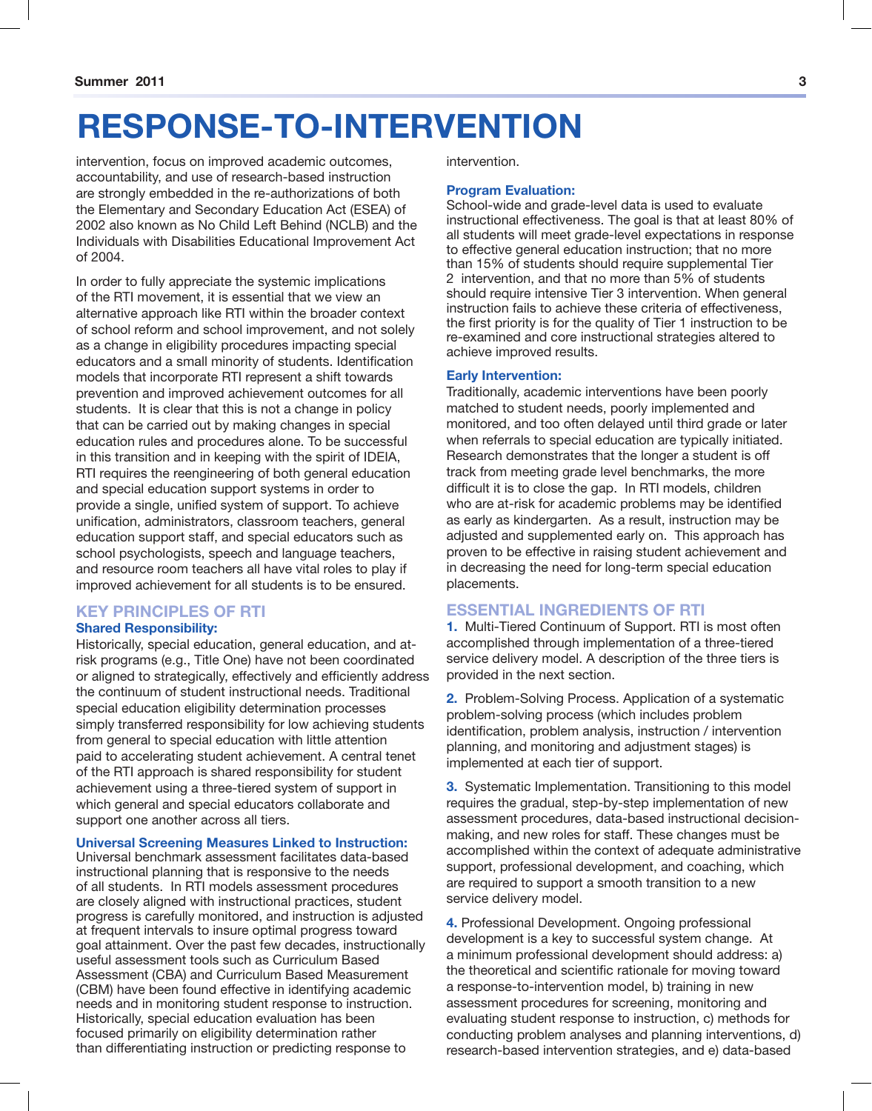# **RESPONSE-TO-INTERVENTION**

intervention, focus on improved academic outcomes, accountability, and use of research-based instruction are strongly embedded in the re-authorizations of both the Elementary and Secondary Education Act (ESEA) of 2002 also known as No Child Left Behind (NCLB) and the Individuals with Disabilities Educational Improvement Act of 2004.

In order to fully appreciate the systemic implications of the RTI movement, it is essential that we view an alternative approach like RTI within the broader context of school reform and school improvement, and not solely as a change in eligibility procedures impacting special educators and a small minority of students. Identification models that incorporate RTI represent a shift towards prevention and improved achievement outcomes for all students. It is clear that this is not a change in policy that can be carried out by making changes in special education rules and procedures alone. To be successful in this transition and in keeping with the spirit of IDEIA, RTI requires the reengineering of both general education and special education support systems in order to provide a single, unified system of support. To achieve unification, administrators, classroom teachers, general education support staff, and special educators such as school psychologists, speech and language teachers, and resource room teachers all have vital roles to play if improved achievement for all students is to be ensured.

#### **KEY PRINCIPLES OF RTI**

#### **Shared Responsibility:**

Historically, special education, general education, and atrisk programs (e.g., Title One) have not been coordinated or aligned to strategically, effectively and efficiently address the continuum of student instructional needs. Traditional special education eligibility determination processes simply transferred responsibility for low achieving students from general to special education with little attention paid to accelerating student achievement. A central tenet of the RTI approach is shared responsibility for student achievement using a three-tiered system of support in which general and special educators collaborate and support one another across all tiers.

#### **Universal Screening Measures Linked to Instruction:**

Universal benchmark assessment facilitates data-based instructional planning that is responsive to the needs of all students. In RTI models assessment procedures are closely aligned with instructional practices, student progress is carefully monitored, and instruction is adjusted at frequent intervals to insure optimal progress toward goal attainment. Over the past few decades, instructionally useful assessment tools such as Curriculum Based Assessment (CBA) and Curriculum Based Measurement (CBM) have been found effective in identifying academic needs and in monitoring student response to instruction. Historically, special education evaluation has been focused primarily on eligibility determination rather than differentiating instruction or predicting response to

intervention.

#### **Program Evaluation:**

School-wide and grade-level data is used to evaluate instructional effectiveness. The goal is that at least 80% of all students will meet grade-level expectations in response to effective general education instruction; that no more than 15% of students should require supplemental Tier 2 intervention, and that no more than 5% of students should require intensive Tier 3 intervention. When general instruction fails to achieve these criteria of effectiveness, the first priority is for the quality of Tier 1 instruction to be re-examined and core instructional strategies altered to achieve improved results.

#### **Early Intervention:**

Traditionally, academic interventions have been poorly matched to student needs, poorly implemented and monitored, and too often delayed until third grade or later when referrals to special education are typically initiated. Research demonstrates that the longer a student is off track from meeting grade level benchmarks, the more difficult it is to close the gap. In RTI models, children who are at-risk for academic problems may be identified as early as kindergarten. As a result, instruction may be adjusted and supplemented early on. This approach has proven to be effective in raising student achievement and in decreasing the need for long-term special education placements.

#### **ESSENTIAL INGREDIENTS OF RTI**

**1.** Multi-Tiered Continuum of Support. RTI is most often accomplished through implementation of a three-tiered service delivery model. A description of the three tiers is provided in the next section.

**2.** Problem-Solving Process. Application of a systematic problem-solving process (which includes problem identification, problem analysis, instruction / intervention planning, and monitoring and adjustment stages) is implemented at each tier of support.

**3.** Systematic Implementation. Transitioning to this model requires the gradual, step-by-step implementation of new assessment procedures, data-based instructional decisionmaking, and new roles for staff. These changes must be accomplished within the context of adequate administrative support, professional development, and coaching, which are required to support a smooth transition to a new service delivery model.

**4.** Professional Development. Ongoing professional development is a key to successful system change. At a minimum professional development should address: a) the theoretical and scientific rationale for moving toward a response-to-intervention model, b) training in new assessment procedures for screening, monitoring and evaluating student response to instruction, c) methods for conducting problem analyses and planning interventions, d) research-based intervention strategies, and e) data-based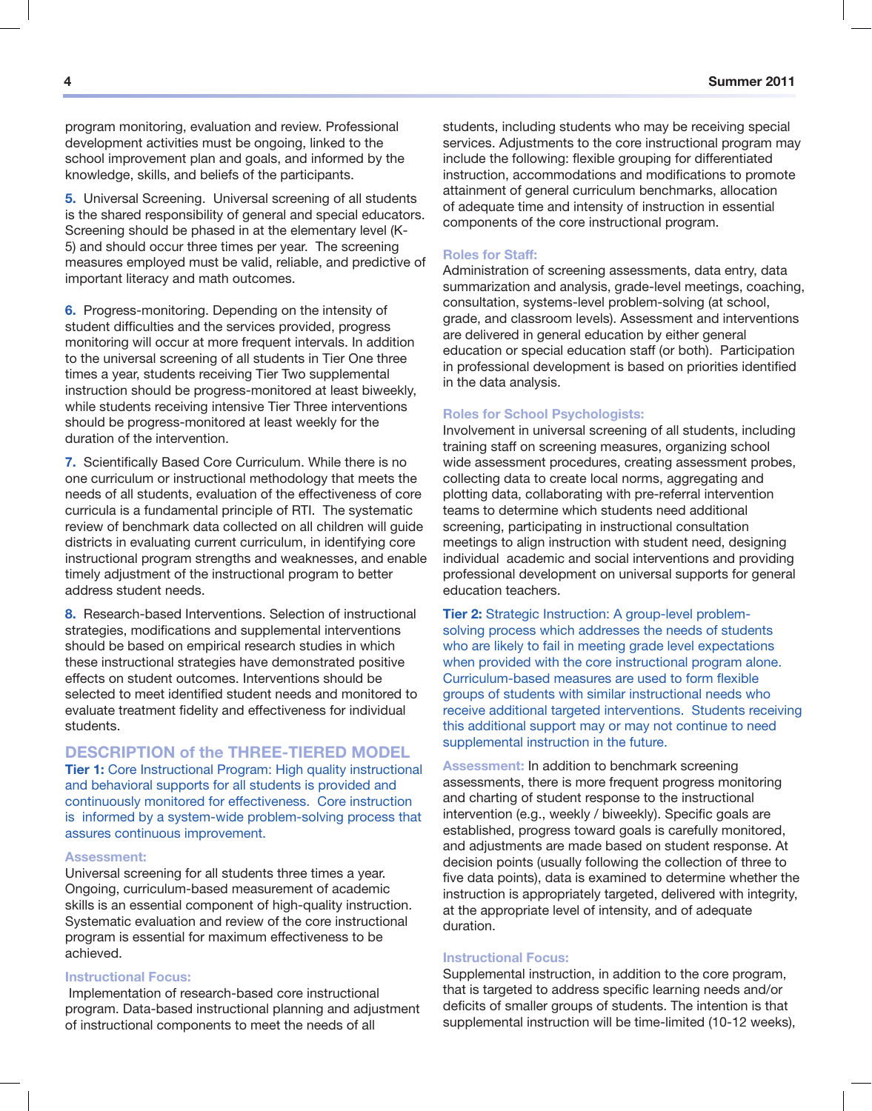program monitoring, evaluation and review. Professional development activities must be ongoing, linked to the school improvement plan and goals, and informed by the knowledge, skills, and beliefs of the participants.

**5.** Universal Screening. Universal screening of all students is the shared responsibility of general and special educators. Screening should be phased in at the elementary level (K-5) and should occur three times per year. The screening measures employed must be valid, reliable, and predictive of important literacy and math outcomes.

**6.** Progress-monitoring. Depending on the intensity of student difficulties and the services provided, progress monitoring will occur at more frequent intervals. In addition to the universal screening of all students in Tier One three times a year, students receiving Tier Two supplemental instruction should be progress-monitored at least biweekly, while students receiving intensive Tier Three interventions should be progress-monitored at least weekly for the duration of the intervention.

**7.** Scientifically Based Core Curriculum. While there is no one curriculum or instructional methodology that meets the needs of all students, evaluation of the effectiveness of core curricula is a fundamental principle of RTI. The systematic review of benchmark data collected on all children will guide districts in evaluating current curriculum, in identifying core instructional program strengths and weaknesses, and enable timely adjustment of the instructional program to better address student needs.

**8.** Research-based Interventions. Selection of instructional strategies, modifications and supplemental interventions should be based on empirical research studies in which these instructional strategies have demonstrated positive effects on student outcomes. Interventions should be selected to meet identified student needs and monitored to evaluate treatment fidelity and effectiveness for individual students.

#### **DESCRIPTION of the THREE-TIERED MODEL**

**Tier 1:** Core Instructional Program: High quality instructional and behavioral supports for all students is provided and continuously monitored for effectiveness. Core instruction is informed by a system-wide problem-solving process that assures continuous improvement.

#### **Assessment:**

Universal screening for all students three times a year. Ongoing, curriculum-based measurement of academic skills is an essential component of high-quality instruction. Systematic evaluation and review of the core instructional program is essential for maximum effectiveness to be achieved.

#### **Instructional Focus:**

 Implementation of research-based core instructional program. Data-based instructional planning and adjustment of instructional components to meet the needs of all

students, including students who may be receiving special services. Adjustments to the core instructional program may include the following: flexible grouping for differentiated instruction, accommodations and modifications to promote attainment of general curriculum benchmarks, allocation of adequate time and intensity of instruction in essential components of the core instructional program.

#### **Roles for Staff:**

Administration of screening assessments, data entry, data summarization and analysis, grade-level meetings, coaching, consultation, systems-level problem-solving (at school, grade, and classroom levels). Assessment and interventions are delivered in general education by either general education or special education staff (or both). Participation in professional development is based on priorities identified in the data analysis.

#### **Roles for School Psychologists:**

Involvement in universal screening of all students, including training staff on screening measures, organizing school wide assessment procedures, creating assessment probes, collecting data to create local norms, aggregating and plotting data, collaborating with pre-referral intervention teams to determine which students need additional screening, participating in instructional consultation meetings to align instruction with student need, designing individual academic and social interventions and providing professional development on universal supports for general education teachers.

**Tier 2:** Strategic Instruction: A group-level problemsolving process which addresses the needs of students who are likely to fail in meeting grade level expectations when provided with the core instructional program alone. Curriculum-based measures are used to form flexible groups of students with similar instructional needs who receive additional targeted interventions. Students receiving this additional support may or may not continue to need supplemental instruction in the future.

**Assessment:** In addition to benchmark screening assessments, there is more frequent progress monitoring and charting of student response to the instructional intervention (e.g., weekly / biweekly). Specific goals are established, progress toward goals is carefully monitored, and adjustments are made based on student response. At decision points (usually following the collection of three to five data points), data is examined to determine whether the instruction is appropriately targeted, delivered with integrity, at the appropriate level of intensity, and of adequate duration.

#### **Instructional Focus:**

Supplemental instruction, in addition to the core program, that is targeted to address specific learning needs and/or deficits of smaller groups of students. The intention is that supplemental instruction will be time-limited (10-12 weeks),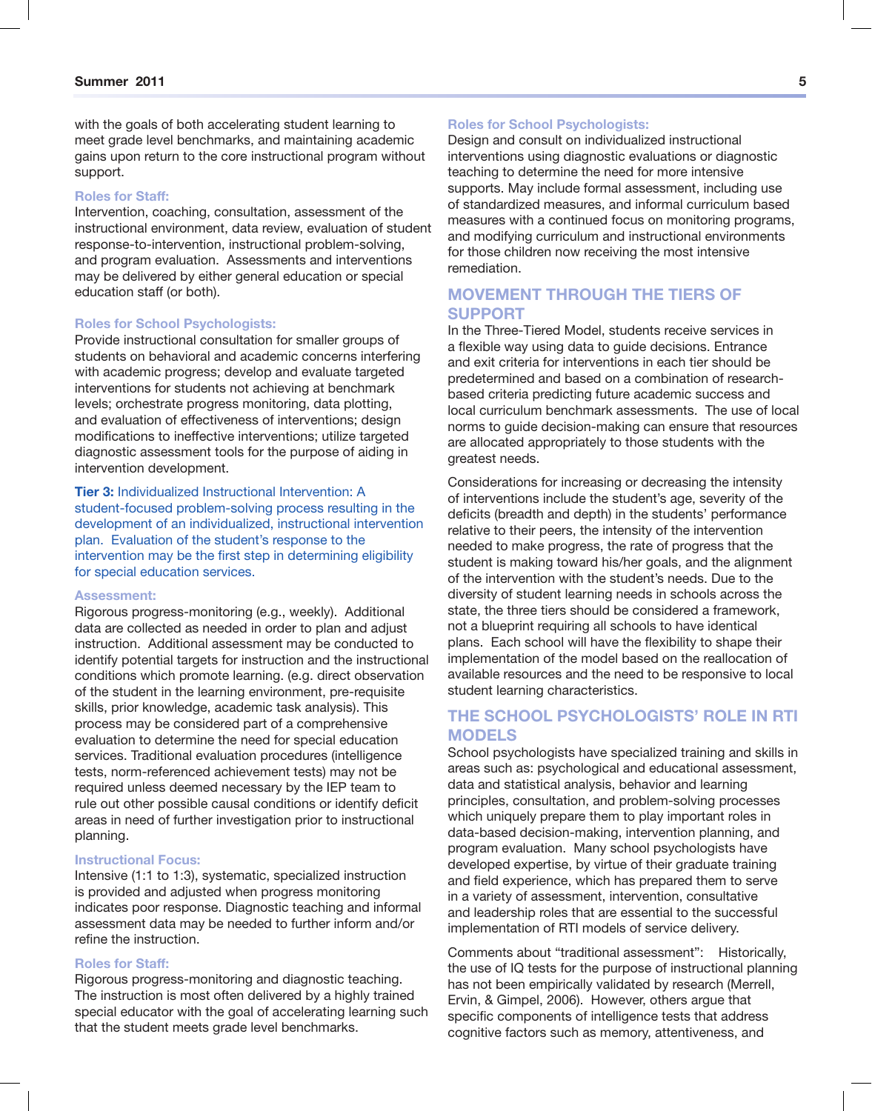with the goals of both accelerating student learning to meet grade level benchmarks, and maintaining academic gains upon return to the core instructional program without support.

#### **Roles for Staff:**

Intervention, coaching, consultation, assessment of the instructional environment, data review, evaluation of student response-to-intervention, instructional problem-solving, and program evaluation. Assessments and interventions may be delivered by either general education or special education staff (or both).

#### **Roles for School Psychologists:**

Provide instructional consultation for smaller groups of students on behavioral and academic concerns interfering with academic progress; develop and evaluate targeted interventions for students not achieving at benchmark levels; orchestrate progress monitoring, data plotting, and evaluation of effectiveness of interventions; design modifications to ineffective interventions; utilize targeted diagnostic assessment tools for the purpose of aiding in intervention development.

**Tier 3:** Individualized Instructional Intervention: A student-focused problem-solving process resulting in the development of an individualized, instructional intervention plan. Evaluation of the student's response to the intervention may be the first step in determining eligibility for special education services.

#### **Assessment:**

Rigorous progress-monitoring (e.g., weekly). Additional data are collected as needed in order to plan and adjust instruction. Additional assessment may be conducted to identify potential targets for instruction and the instructional conditions which promote learning. (e.g. direct observation of the student in the learning environment, pre-requisite skills, prior knowledge, academic task analysis). This process may be considered part of a comprehensive evaluation to determine the need for special education services. Traditional evaluation procedures (intelligence tests, norm-referenced achievement tests) may not be required unless deemed necessary by the IEP team to rule out other possible causal conditions or identify deficit areas in need of further investigation prior to instructional planning.

#### **Instructional Focus:**

Intensive (1:1 to 1:3), systematic, specialized instruction is provided and adjusted when progress monitoring indicates poor response. Diagnostic teaching and informal assessment data may be needed to further inform and/or refine the instruction.

#### **Roles for Staff:**

Rigorous progress-monitoring and diagnostic teaching. The instruction is most often delivered by a highly trained special educator with the goal of accelerating learning such that the student meets grade level benchmarks.

#### **Roles for School Psychologists:**

Design and consult on individualized instructional interventions using diagnostic evaluations or diagnostic teaching to determine the need for more intensive supports. May include formal assessment, including use of standardized measures, and informal curriculum based measures with a continued focus on monitoring programs, and modifying curriculum and instructional environments for those children now receiving the most intensive remediation.

#### **MOVEMENT THROUGH THE TIERS OF SUPPORT**

In the Three-Tiered Model, students receive services in a flexible way using data to guide decisions. Entrance and exit criteria for interventions in each tier should be predetermined and based on a combination of researchbased criteria predicting future academic success and local curriculum benchmark assessments. The use of local norms to guide decision-making can ensure that resources are allocated appropriately to those students with the greatest needs.

Considerations for increasing or decreasing the intensity of interventions include the student's age, severity of the deficits (breadth and depth) in the students' performance relative to their peers, the intensity of the intervention needed to make progress, the rate of progress that the student is making toward his/her goals, and the alignment of the intervention with the student's needs. Due to the diversity of student learning needs in schools across the state, the three tiers should be considered a framework, not a blueprint requiring all schools to have identical plans. Each school will have the flexibility to shape their implementation of the model based on the reallocation of available resources and the need to be responsive to local student learning characteristics.

#### **THE SCHOOL PSYCHOLOGISTS' ROLE IN RTI MODELS**

School psychologists have specialized training and skills in areas such as: psychological and educational assessment, data and statistical analysis, behavior and learning principles, consultation, and problem-solving processes which uniquely prepare them to play important roles in data-based decision-making, intervention planning, and program evaluation. Many school psychologists have developed expertise, by virtue of their graduate training and field experience, which has prepared them to serve in a variety of assessment, intervention, consultative and leadership roles that are essential to the successful implementation of RTI models of service delivery.

Comments about "traditional assessment": Historically, the use of IQ tests for the purpose of instructional planning has not been empirically validated by research (Merrell, Ervin, & Gimpel, 2006). However, others argue that specific components of intelligence tests that address cognitive factors such as memory, attentiveness, and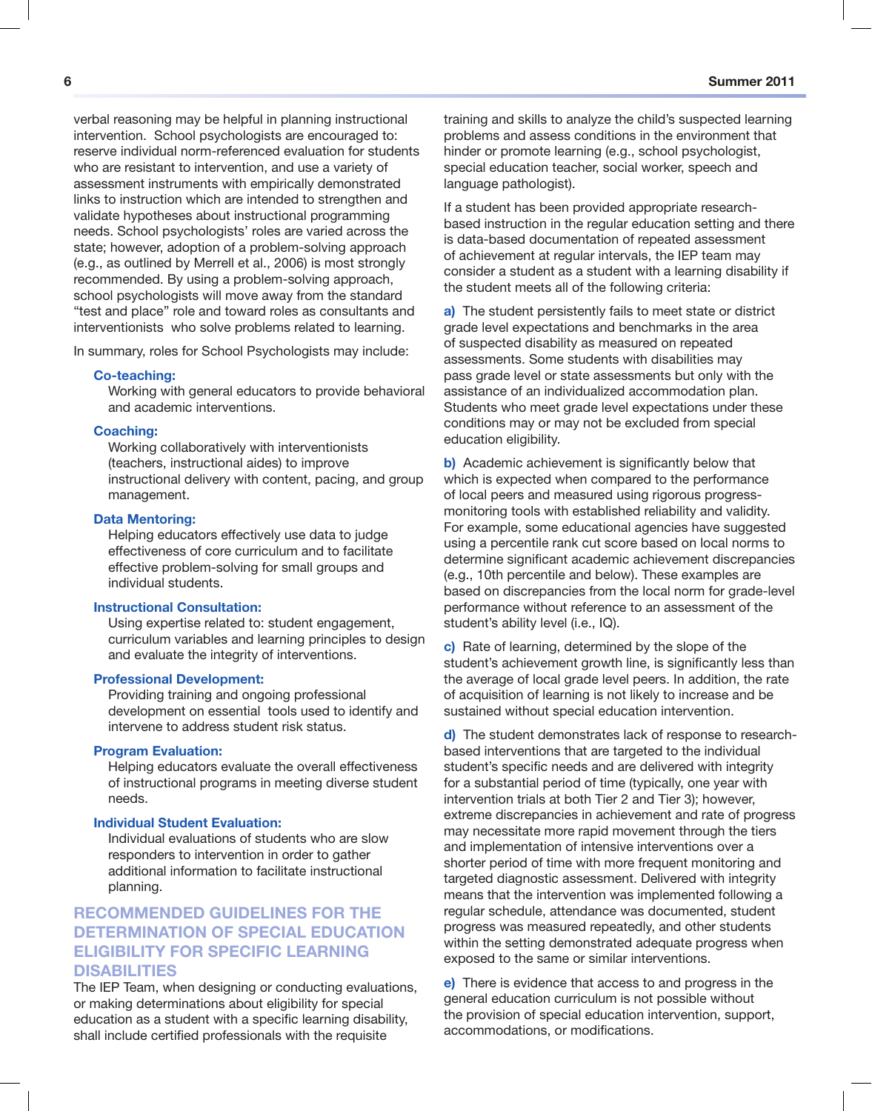verbal reasoning may be helpful in planning instructional intervention. School psychologists are encouraged to: reserve individual norm-referenced evaluation for students who are resistant to intervention, and use a variety of assessment instruments with empirically demonstrated links to instruction which are intended to strengthen and validate hypotheses about instructional programming needs. School psychologists' roles are varied across the state; however, adoption of a problem-solving approach (e.g., as outlined by Merrell et al., 2006) is most strongly recommended. By using a problem-solving approach, school psychologists will move away from the standard "test and place" role and toward roles as consultants and interventionists who solve problems related to learning.

In summary, roles for School Psychologists may include:

#### **Co-teaching:**

Working with general educators to provide behavioral and academic interventions.

#### **Coaching:**

Working collaboratively with interventionists (teachers, instructional aides) to improve instructional delivery with content, pacing, and group management.

#### **Data Mentoring:**

Helping educators effectively use data to judge effectiveness of core curriculum and to facilitate effective problem-solving for small groups and individual students.

#### **Instructional Consultation:**

Using expertise related to: student engagement, curriculum variables and learning principles to design and evaluate the integrity of interventions.

#### **Professional Development:**

Providing training and ongoing professional development on essential tools used to identify and intervene to address student risk status.

#### **Program Evaluation:**

Helping educators evaluate the overall effectiveness of instructional programs in meeting diverse student needs.

#### **Individual Student Evaluation:**

Individual evaluations of students who are slow responders to intervention in order to gather additional information to facilitate instructional planning.

#### **RECOMMENDED GUIDELINES FOR THE DETERMINATION OF SPECIAL EDUCATION ELIGIBILITY FOR SPECIFIC LEARNING DISABILITIES**

The IEP Team, when designing or conducting evaluations, or making determinations about eligibility for special education as a student with a specific learning disability, shall include certified professionals with the requisite

training and skills to analyze the child's suspected learning problems and assess conditions in the environment that hinder or promote learning (e.g., school psychologist, special education teacher, social worker, speech and language pathologist).

If a student has been provided appropriate researchbased instruction in the regular education setting and there is data-based documentation of repeated assessment of achievement at regular intervals, the IEP team may consider a student as a student with a learning disability if the student meets all of the following criteria:

**a)** The student persistently fails to meet state or district grade level expectations and benchmarks in the area of suspected disability as measured on repeated assessments. Some students with disabilities may pass grade level or state assessments but only with the assistance of an individualized accommodation plan. Students who meet grade level expectations under these conditions may or may not be excluded from special education eligibility.

**b)** Academic achievement is significantly below that which is expected when compared to the performance of local peers and measured using rigorous progressmonitoring tools with established reliability and validity. For example, some educational agencies have suggested using a percentile rank cut score based on local norms to determine significant academic achievement discrepancies (e.g., 10th percentile and below). These examples are based on discrepancies from the local norm for grade-level performance without reference to an assessment of the student's ability level (i.e., IQ).

**c)** Rate of learning, determined by the slope of the student's achievement growth line, is significantly less than the average of local grade level peers. In addition, the rate of acquisition of learning is not likely to increase and be sustained without special education intervention.

**d)** The student demonstrates lack of response to researchbased interventions that are targeted to the individual student's specific needs and are delivered with integrity for a substantial period of time (typically, one year with intervention trials at both Tier 2 and Tier 3); however, extreme discrepancies in achievement and rate of progress may necessitate more rapid movement through the tiers and implementation of intensive interventions over a shorter period of time with more frequent monitoring and targeted diagnostic assessment. Delivered with integrity means that the intervention was implemented following a regular schedule, attendance was documented, student progress was measured repeatedly, and other students within the setting demonstrated adequate progress when exposed to the same or similar interventions.

**e)** There is evidence that access to and progress in the general education curriculum is not possible without the provision of special education intervention, support, accommodations, or modifications.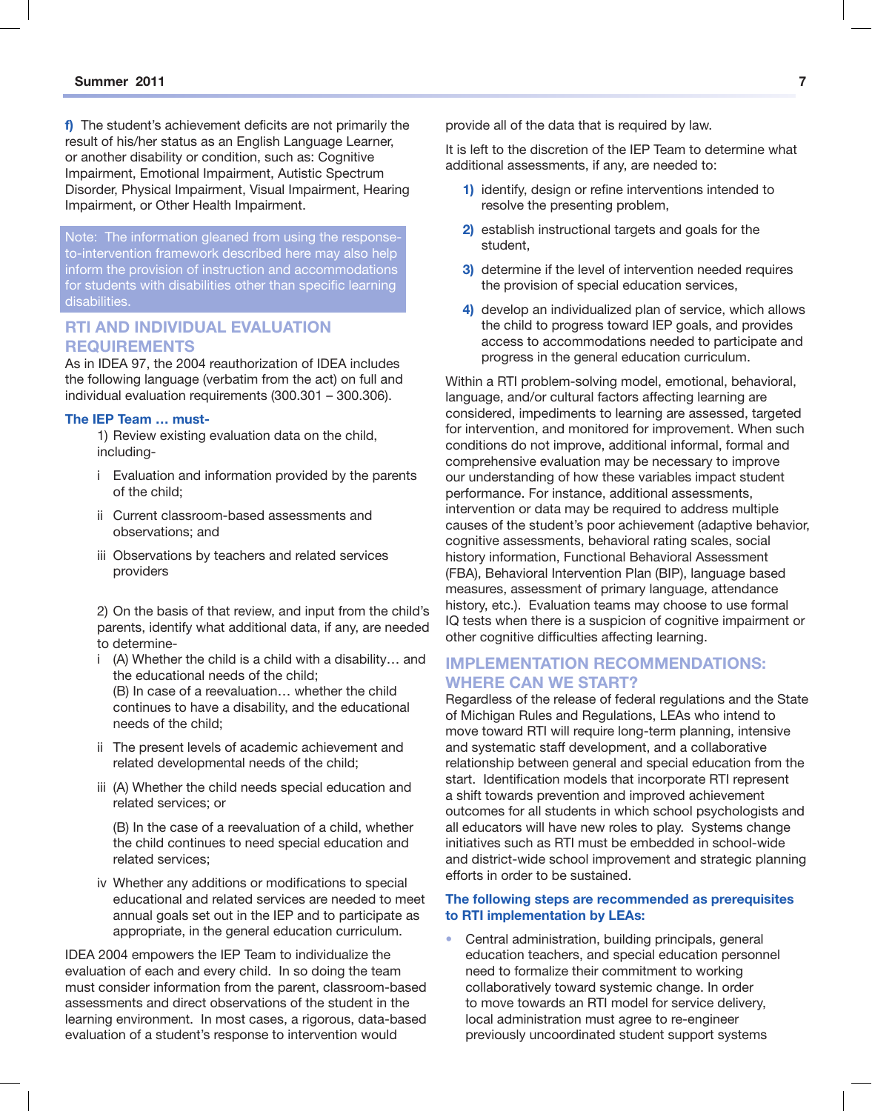L

**f)** The student's achievement deficits are not primarily the result of his/her status as an English Language Learner, or another disability or condition, such as: Cognitive Impairment, Emotional Impairment, Autistic Spectrum Disorder, Physical Impairment, Visual Impairment, Hearing Impairment, or Other Health Impairment.

Note: The information gleaned from using the responseto-intervention framework described here may also help inform the provision of instruction and accommodations for students with disabilities other than specific learning disabilities.

#### **RTI AND INDIVIDUAL EVALUATION REQUIREMENTS**

As in IDEA 97, the 2004 reauthorization of IDEA includes the following language (verbatim from the act) on full and individual evaluation requirements (300.301 – 300.306).

#### **The IEP Team … must-**

1) Review existing evaluation data on the child, including-

- i Evaluation and information provided by the parents of the child;
- ii Current classroom-based assessments and observations; and
- iii Observations by teachers and related services providers

2) On the basis of that review, and input from the child's parents, identify what additional data, if any, are needed to determine-

- i (A) Whether the child is a child with a disability… and the educational needs of the child; (B) In case of a reevaluation… whether the child continues to have a disability, and the educational needs of the child;
- ii The present levels of academic achievement and related developmental needs of the child;
- iii (A) Whether the child needs special education and related services; or

 (B) In the case of a reevaluation of a child, whether the child continues to need special education and related services;

iv Whether any additions or modifications to special educational and related services are needed to meet annual goals set out in the IEP and to participate as appropriate, in the general education curriculum.

IDEA 2004 empowers the IEP Team to individualize the evaluation of each and every child. In so doing the team must consider information from the parent, classroom-based assessments and direct observations of the student in the learning environment. In most cases, a rigorous, data-based evaluation of a student's response to intervention would

provide all of the data that is required by law.

It is left to the discretion of the IEP Team to determine what additional assessments, if any, are needed to:

- **1)** identify, design or refine interventions intended to resolve the presenting problem,
- **2)** establish instructional targets and goals for the student,
- **3)** determine if the level of intervention needed requires the provision of special education services,
- **4)** develop an individualized plan of service, which allows the child to progress toward IEP goals, and provides access to accommodations needed to participate and progress in the general education curriculum.

Within a RTI problem-solving model, emotional, behavioral, language, and/or cultural factors affecting learning are considered, impediments to learning are assessed, targeted for intervention, and monitored for improvement. When such conditions do not improve, additional informal, formal and comprehensive evaluation may be necessary to improve our understanding of how these variables impact student performance. For instance, additional assessments, intervention or data may be required to address multiple causes of the student's poor achievement (adaptive behavior, cognitive assessments, behavioral rating scales, social history information, Functional Behavioral Assessment (FBA), Behavioral Intervention Plan (BIP), language based measures, assessment of primary language, attendance history, etc.). Evaluation teams may choose to use formal IQ tests when there is a suspicion of cognitive impairment or other cognitive difficulties affecting learning.

#### **IMPLEMENTATION RECOMMENDATIONS: WHERE CAN WE START?**

Regardless of the release of federal regulations and the State of Michigan Rules and Regulations, LEAs who intend to move toward RTI will require long-term planning, intensive and systematic staff development, and a collaborative relationship between general and special education from the start. Identification models that incorporate RTI represent a shift towards prevention and improved achievement outcomes for all students in which school psychologists and all educators will have new roles to play. Systems change initiatives such as RTI must be embedded in school-wide and district-wide school improvement and strategic planning efforts in order to be sustained.

#### **The following steps are recommended as prerequisites to RTI implementation by LEAs:**

• Central administration, building principals, general education teachers, and special education personnel need to formalize their commitment to working collaboratively toward systemic change. In order to move towards an RTI model for service delivery, local administration must agree to re-engineer previously uncoordinated student support systems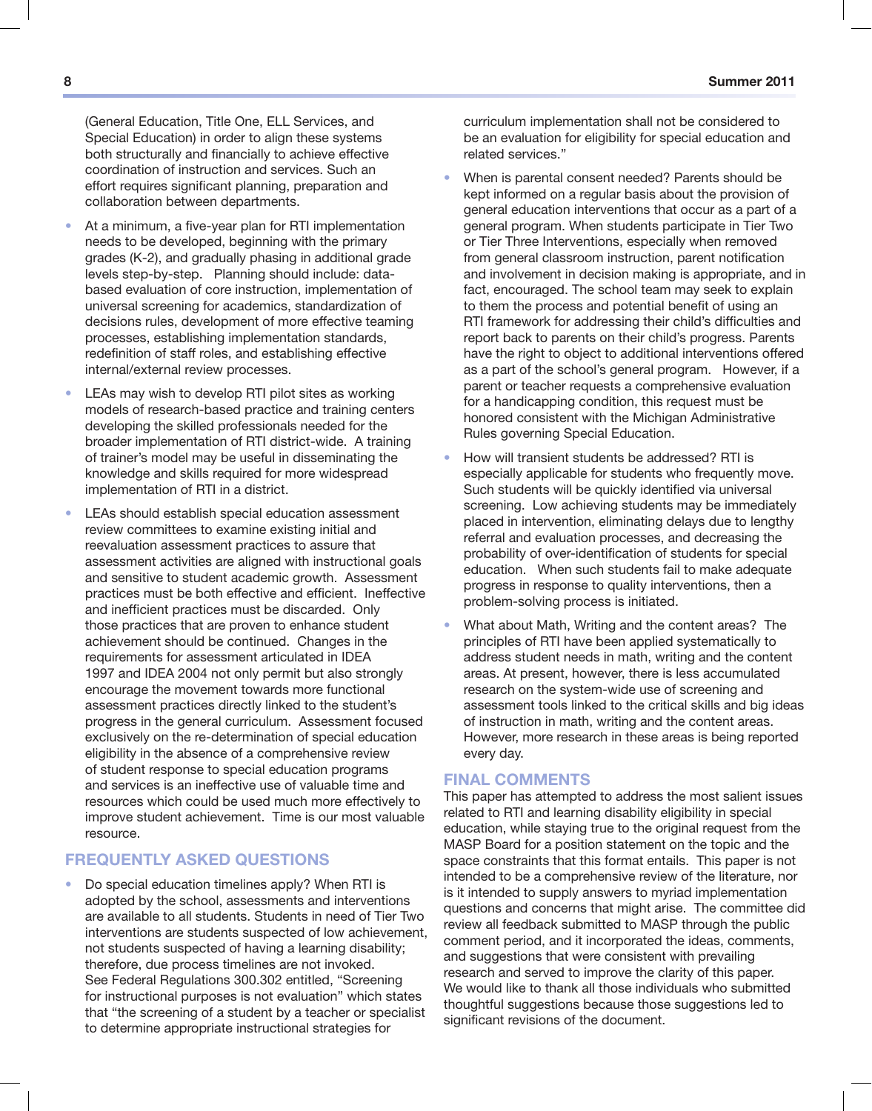(General Education, Title One, ELL Services, and Special Education) in order to align these systems both structurally and financially to achieve effective coordination of instruction and services. Such an effort requires significant planning, preparation and collaboration between departments.

- At a minimum, a five-year plan for RTI implementation needs to be developed, beginning with the primary grades (K-2), and gradually phasing in additional grade levels step-by-step. Planning should include: databased evaluation of core instruction, implementation of universal screening for academics, standardization of decisions rules, development of more effective teaming processes, establishing implementation standards, redefinition of staff roles, and establishing effective internal/external review processes.
- LEAs may wish to develop RTI pilot sites as working models of research-based practice and training centers developing the skilled professionals needed for the broader implementation of RTI district-wide. A training of trainer's model may be useful in disseminating the knowledge and skills required for more widespread implementation of RTI in a district.
- LEAs should establish special education assessment review committees to examine existing initial and reevaluation assessment practices to assure that assessment activities are aligned with instructional goals and sensitive to student academic growth. Assessment practices must be both effective and efficient. Ineffective and inefficient practices must be discarded. Only those practices that are proven to enhance student achievement should be continued. Changes in the requirements for assessment articulated in IDEA 1997 and IDEA 2004 not only permit but also strongly encourage the movement towards more functional assessment practices directly linked to the student's progress in the general curriculum. Assessment focused exclusively on the re-determination of special education eligibility in the absence of a comprehensive review of student response to special education programs and services is an ineffective use of valuable time and resources which could be used much more effectively to improve student achievement. Time is our most valuable resource.

#### **FREQUENTLY ASKED QUESTIONS**

• Do special education timelines apply? When RTI is adopted by the school, assessments and interventions are available to all students. Students in need of Tier Two interventions are students suspected of low achievement, not students suspected of having a learning disability; therefore, due process timelines are not invoked. See Federal Regulations 300.302 entitled, "Screening for instructional purposes is not evaluation" which states that "the screening of a student by a teacher or specialist to determine appropriate instructional strategies for

curriculum implementation shall not be considered to be an evaluation for eligibility for special education and related services."

- When is parental consent needed? Parents should be kept informed on a regular basis about the provision of general education interventions that occur as a part of a general program. When students participate in Tier Two or Tier Three Interventions, especially when removed from general classroom instruction, parent notification and involvement in decision making is appropriate, and in fact, encouraged. The school team may seek to explain to them the process and potential benefit of using an RTI framework for addressing their child's difficulties and report back to parents on their child's progress. Parents have the right to object to additional interventions offered as a part of the school's general program. However, if a parent or teacher requests a comprehensive evaluation for a handicapping condition, this request must be honored consistent with the Michigan Administrative Rules governing Special Education.
- How will transient students be addressed? RTI is especially applicable for students who frequently move. Such students will be quickly identified via universal screening. Low achieving students may be immediately placed in intervention, eliminating delays due to lengthy referral and evaluation processes, and decreasing the probability of over-identification of students for special education. When such students fail to make adequate progress in response to quality interventions, then a problem-solving process is initiated.
- What about Math, Writing and the content areas? The principles of RTI have been applied systematically to address student needs in math, writing and the content areas. At present, however, there is less accumulated research on the system-wide use of screening and assessment tools linked to the critical skills and big ideas of instruction in math, writing and the content areas. However, more research in these areas is being reported every day.

#### **FINAL COMMENTS**

This paper has attempted to address the most salient issues related to RTI and learning disability eligibility in special education, while staying true to the original request from the MASP Board for a position statement on the topic and the space constraints that this format entails. This paper is not intended to be a comprehensive review of the literature, nor is it intended to supply answers to myriad implementation questions and concerns that might arise. The committee did review all feedback submitted to MASP through the public comment period, and it incorporated the ideas, comments, and suggestions that were consistent with prevailing research and served to improve the clarity of this paper. We would like to thank all those individuals who submitted thoughtful suggestions because those suggestions led to significant revisions of the document.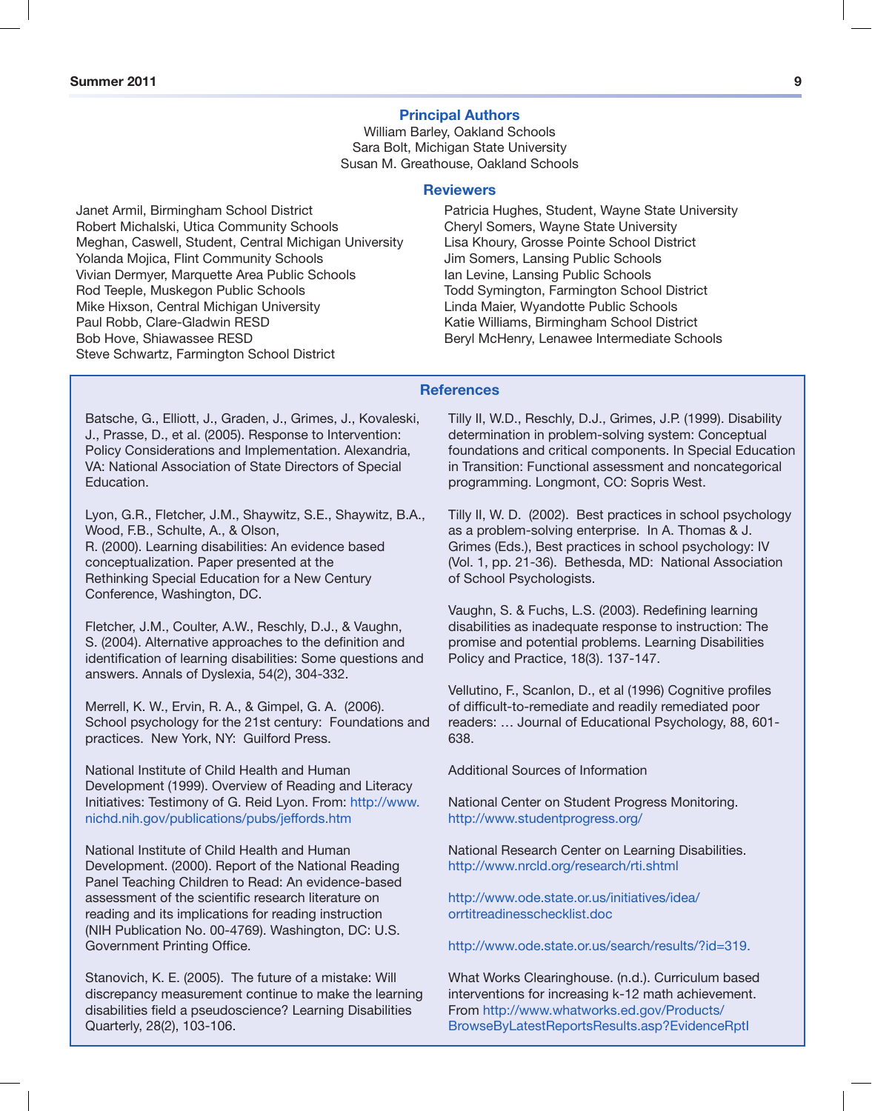#### **Principal Authors**

William Barley, Oakland Schools Sara Bolt, Michigan State University Susan M. Greathouse, Oakland Schools

#### **Reviewers**

Janet Armil, Birmingham School District Robert Michalski, Utica Community Schools Meghan, Caswell, Student, Central Michigan University Yolanda Mojica, Flint Community Schools Vivian Dermyer, Marquette Area Public Schools Rod Teeple, Muskegon Public Schools Mike Hixson, Central Michigan University Paul Robb, Clare-Gladwin RESD Bob Hove, Shiawassee RESD Steve Schwartz, Farmington School District

Patricia Hughes, Student, Wayne State University Cheryl Somers, Wayne State University Lisa Khoury, Grosse Pointe School District Jim Somers, Lansing Public Schools Ian Levine, Lansing Public Schools Todd Symington, Farmington School District Linda Maier, Wyandotte Public Schools Katie Williams, Birmingham School District Beryl McHenry, Lenawee Intermediate Schools

#### **References**

Batsche, G., Elliott, J., Graden, J., Grimes, J., Kovaleski, J., Prasse, D., et al. (2005). Response to Intervention: Policy Considerations and Implementation. Alexandria, VA: National Association of State Directors of Special **Education** 

Lyon, G.R., Fletcher, J.M., Shaywitz, S.E., Shaywitz, B.A., Wood, F.B., Schulte, A., & Olson, R. (2000). Learning disabilities: An evidence based conceptualization. Paper presented at the Rethinking Special Education for a New Century Conference, Washington, DC.

Fletcher, J.M., Coulter, A.W., Reschly, D.J., & Vaughn, S. (2004). Alternative approaches to the definition and identification of learning disabilities: Some questions and answers. Annals of Dyslexia, 54(2), 304-332.

Merrell, K. W., Ervin, R. A., & Gimpel, G. A. (2006). School psychology for the 21st century: Foundations and practices. New York, NY: Guilford Press.

National Institute of Child Health and Human Development (1999). Overview of Reading and Literacy Initiatives: Testimony of G. Reid Lyon. From: http://www. nichd.nih.gov/publications/pubs/jeffords.htm

National Institute of Child Health and Human Development. (2000). Report of the National Reading Panel Teaching Children to Read: An evidence-based assessment of the scientific research literature on reading and its implications for reading instruction (NIH Publication No. 00-4769). Washington, DC: U.S. Government Printing Office.

Stanovich, K. E. (2005). The future of a mistake: Will discrepancy measurement continue to make the learning disabilities field a pseudoscience? Learning Disabilities Quarterly, 28(2), 103-106.

Tilly II, W.D., Reschly, D.J., Grimes, J.P. (1999). Disability determination in problem-solving system: Conceptual foundations and critical components. In Special Education in Transition: Functional assessment and noncategorical programming. Longmont, CO: Sopris West.

Tilly II, W. D. (2002). Best practices in school psychology as a problem-solving enterprise. In A. Thomas & J. Grimes (Eds.), Best practices in school psychology: IV (Vol. 1, pp. 21-36). Bethesda, MD: National Association of School Psychologists.

Vaughn, S. & Fuchs, L.S. (2003). Redefining learning disabilities as inadequate response to instruction: The promise and potential problems. Learning Disabilities Policy and Practice, 18(3). 137-147.

Vellutino, F., Scanlon, D., et al (1996) Cognitive profiles of difficult-to-remediate and readily remediated poor readers: … Journal of Educational Psychology, 88, 601- 638.

Additional Sources of Information

National Center on Student Progress Monitoring. http://www.studentprogress.org/

National Research Center on Learning Disabilities. http://www.nrcld.org/research/rti.shtml

http://www.ode.state.or.us/initiatives/idea/ orrtitreadinesschecklist.doc

http://www.ode.state.or.us/search/results/?id=319.

What Works Clearinghouse. (n.d.). Curriculum based interventions for increasing k-12 math achievement. From http://www.whatworks.ed.gov/Products/ BrowseByLatestReportsResults.asp?EvidenceRptI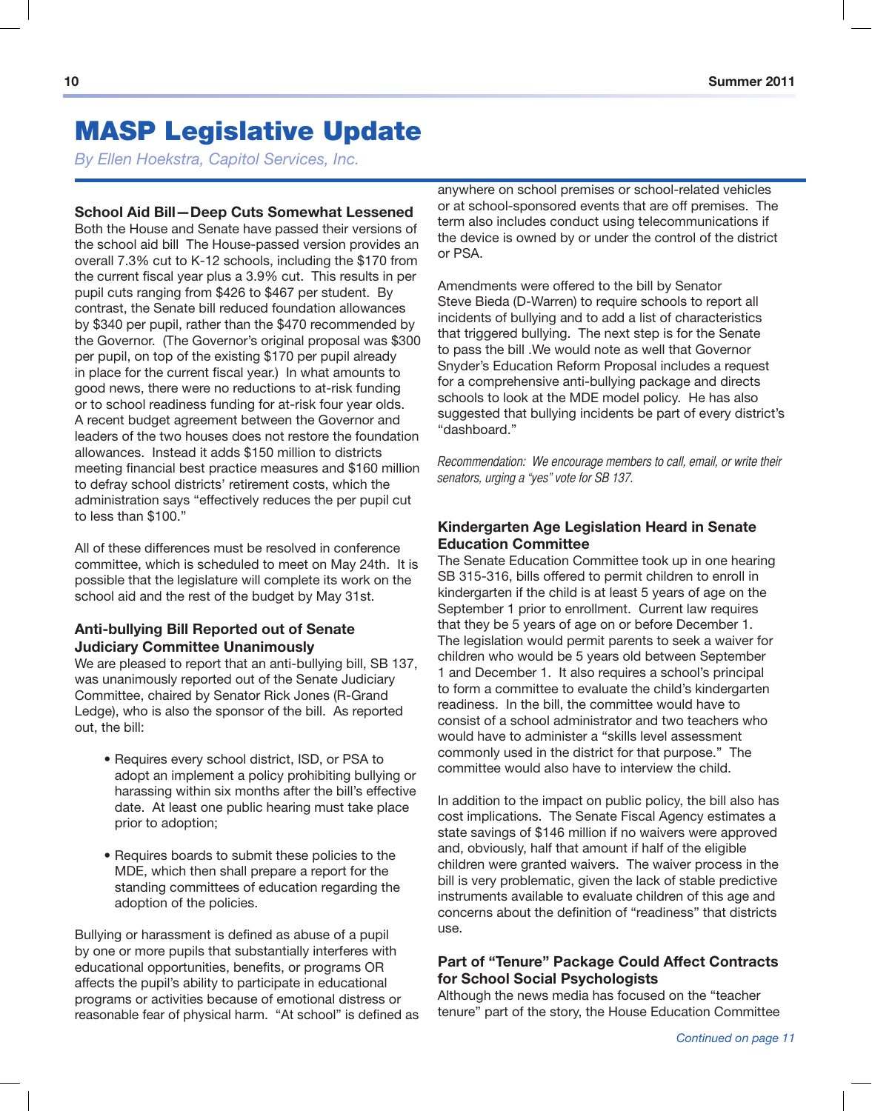## MASP Legislative Update

*By Ellen Hoekstra, Capitol Services, Inc.*

#### **School Aid Bill—Deep Cuts Somewhat Lessened**

Both the House and Senate have passed their versions of the school aid bill The House-passed version provides an overall 7.3% cut to K-12 schools, including the \$170 from the current fiscal year plus a 3.9% cut. This results in per pupil cuts ranging from \$426 to \$467 per student. By contrast, the Senate bill reduced foundation allowances by \$340 per pupil, rather than the \$470 recommended by the Governor. (The Governor's original proposal was \$300 per pupil, on top of the existing \$170 per pupil already in place for the current fiscal year.) In what amounts to good news, there were no reductions to at-risk funding or to school readiness funding for at-risk four year olds. A recent budget agreement between the Governor and leaders of the two houses does not restore the foundation allowances. Instead it adds \$150 million to districts meeting financial best practice measures and \$160 million to defray school districts' retirement costs, which the administration says "effectively reduces the per pupil cut to less than \$100."

All of these differences must be resolved in conference committee, which is scheduled to meet on May 24th. It is possible that the legislature will complete its work on the school aid and the rest of the budget by May 31st.

#### **Anti-bullying Bill Reported out of Senate Judiciary Committee Unanimously**

We are pleased to report that an anti-bullying bill, SB 137, was unanimously reported out of the Senate Judiciary Committee, chaired by Senator Rick Jones (R-Grand Ledge), who is also the sponsor of the bill. As reported out, the bill:

- Requires every school district, ISD, or PSA to adopt an implement a policy prohibiting bullying or harassing within six months after the bill's effective date. At least one public hearing must take place prior to adoption;
- • Requires boards to submit these policies to the MDE, which then shall prepare a report for the standing committees of education regarding the adoption of the policies.

Bullying or harassment is defined as abuse of a pupil by one or more pupils that substantially interferes with educational opportunities, benefits, or programs OR affects the pupil's ability to participate in educational programs or activities because of emotional distress or reasonable fear of physical harm. "At school" is defined as anywhere on school premises or school-related vehicles or at school-sponsored events that are off premises. The term also includes conduct using telecommunications if the device is owned by or under the control of the district or PSA.

Amendments were offered to the bill by Senator Steve Bieda (D-Warren) to require schools to report all incidents of bullying and to add a list of characteristics that triggered bullying. The next step is for the Senate to pass the bill .We would note as well that Governor Snyder's Education Reform Proposal includes a request for a comprehensive anti-bullying package and directs schools to look at the MDE model policy. He has also suggested that bullying incidents be part of every district's "dashboard."

Recommendation: We encourage members to call, email, or write their senators, urging a "yes" vote for SB 137.

#### **Kindergarten Age Legislation Heard in Senate Education Committee**

The Senate Education Committee took up in one hearing SB 315-316, bills offered to permit children to enroll in kindergarten if the child is at least 5 years of age on the September 1 prior to enrollment. Current law requires that they be 5 years of age on or before December 1. The legislation would permit parents to seek a waiver for children who would be 5 years old between September 1 and December 1. It also requires a school's principal to form a committee to evaluate the child's kindergarten readiness. In the bill, the committee would have to consist of a school administrator and two teachers who would have to administer a "skills level assessment commonly used in the district for that purpose." The committee would also have to interview the child.

In addition to the impact on public policy, the bill also has cost implications. The Senate Fiscal Agency estimates a state savings of \$146 million if no waivers were approved and, obviously, half that amount if half of the eligible children were granted waivers. The waiver process in the bill is very problematic, given the lack of stable predictive instruments available to evaluate children of this age and concerns about the definition of "readiness" that districts use.

#### **Part of "Tenure" Package Could Affect Contracts for School Social Psychologists**

Although the news media has focused on the "teacher tenure" part of the story, the House Education Committee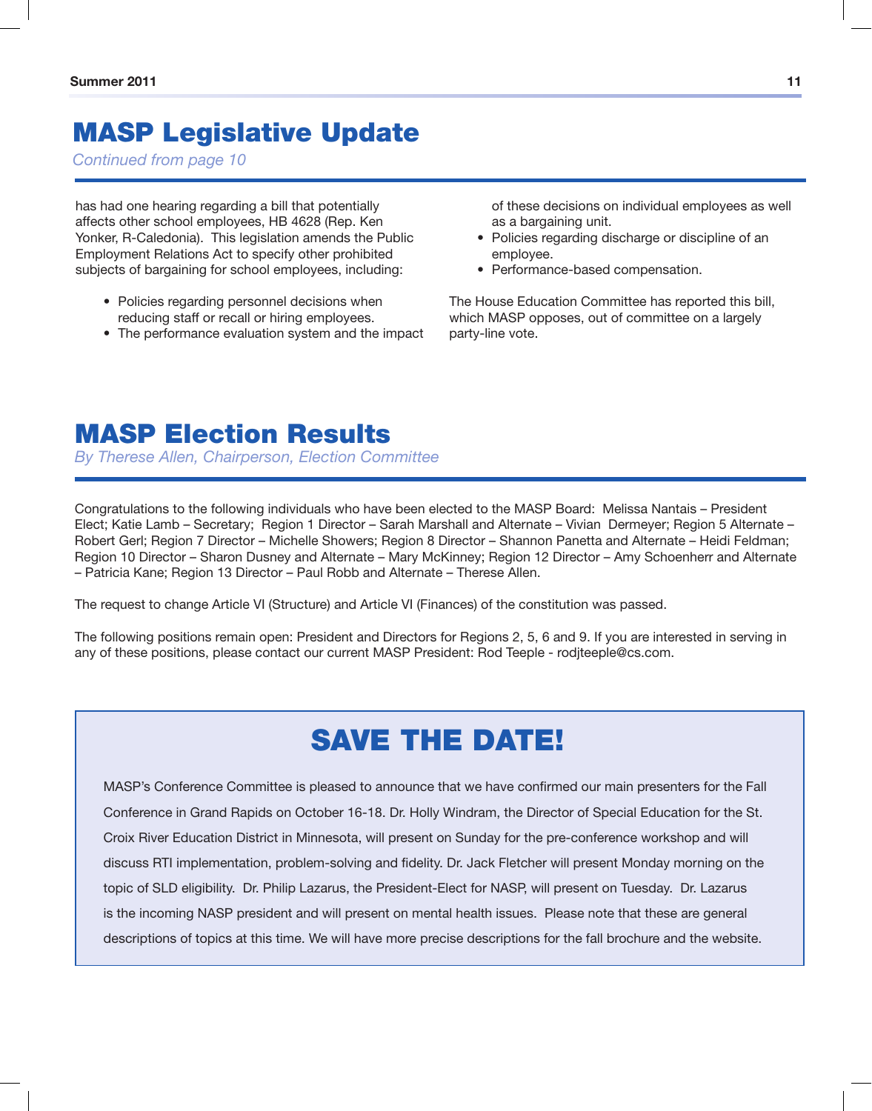## MASP Legislative Update

*Continued from page 10*

has had one hearing regarding a bill that potentially affects other school employees, HB 4628 (Rep. Ken Yonker, R-Caledonia). This legislation amends the Public Employment Relations Act to specify other prohibited subjects of bargaining for school employees, including:

- Policies regarding personnel decisions when reducing staff or recall or hiring employees.
- The performance evaluation system and the impact

of these decisions on individual employees as well as a bargaining unit.

- Policies regarding discharge or discipline of an employee.
- • Performance-based compensation.

The House Education Committee has reported this bill, which MASP opposes, out of committee on a largely party-line vote.

### MASP Election Results

*By Therese Allen, Chairperson, Election Committee*

Congratulations to the following individuals who have been elected to the MASP Board: Melissa Nantais – President Elect; Katie Lamb – Secretary; Region 1 Director – Sarah Marshall and Alternate – Vivian Dermeyer; Region 5 Alternate – Robert Gerl; Region 7 Director – Michelle Showers; Region 8 Director – Shannon Panetta and Alternate – Heidi Feldman; Region 10 Director – Sharon Dusney and Alternate – Mary McKinney; Region 12 Director – Amy Schoenherr and Alternate – Patricia Kane; Region 13 Director – Paul Robb and Alternate – Therese Allen.

The request to change Article VI (Structure) and Article VI (Finances) of the constitution was passed.

The following positions remain open: President and Directors for Regions 2, 5, 6 and 9. If you are interested in serving in any of these positions, please contact our current MASP President: Rod Teeple - rodjteeple@cs.com.

## SAVE THE DATE!

MASP's Conference Committee is pleased to announce that we have confirmed our main presenters for the Fall Conference in Grand Rapids on October 16-18. Dr. Holly Windram, the Director of Special Education for the St. Croix River Education District in Minnesota, will present on Sunday for the pre-conference workshop and will discuss RTI implementation, problem-solving and fidelity. Dr. Jack Fletcher will present Monday morning on the topic of SLD eligibility. Dr. Philip Lazarus, the President-Elect for NASP, will present on Tuesday. Dr. Lazarus is the incoming NASP president and will present on mental health issues. Please note that these are general descriptions of topics at this time. We will have more precise descriptions for the fall brochure and the website.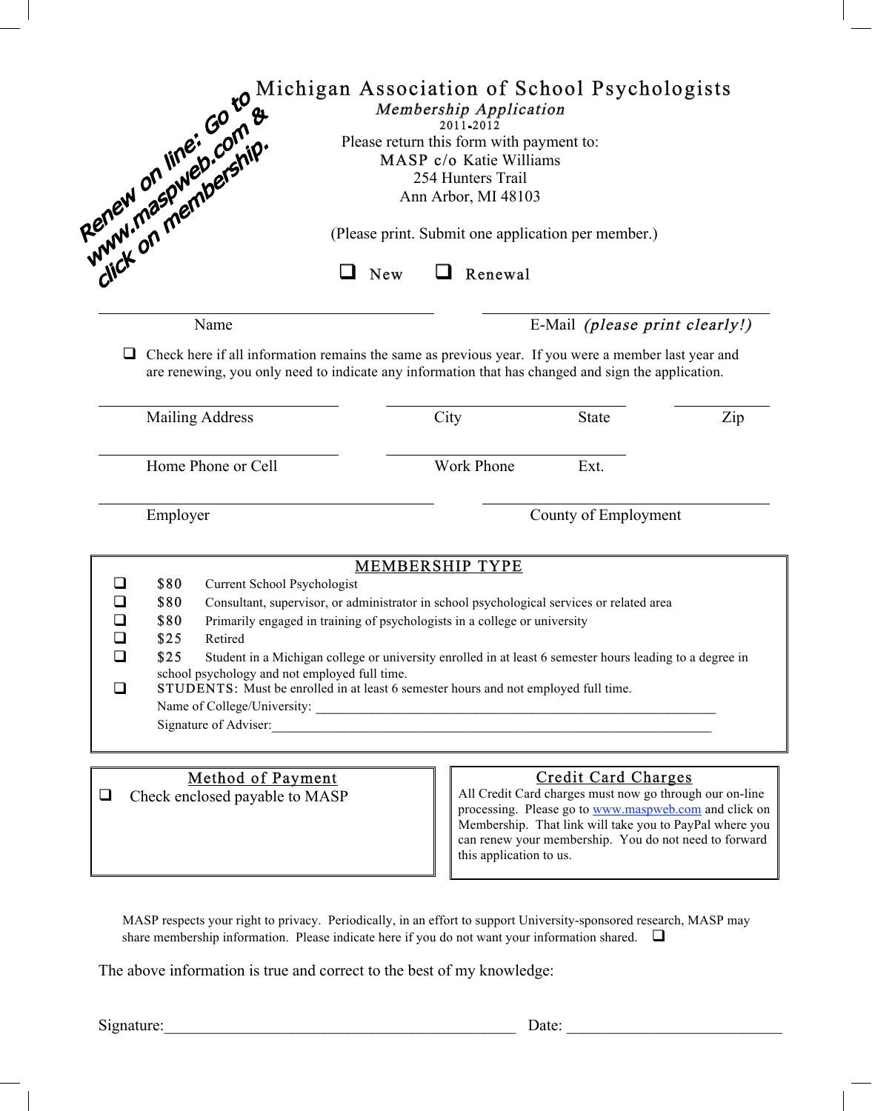|        | Even of the control plants of the Membership Application<br>Membership Application<br>Please return this form with payment to:<br>MASP c/o Katie Williams<br>254 Hunters Tr<br>MAN, ON Membership Application<br>254 Hunters Tr                                                                                                                                                                                                                                              |  |                        |                                |                                                                                                                                                                                                                                      |
|--------|------------------------------------------------------------------------------------------------------------------------------------------------------------------------------------------------------------------------------------------------------------------------------------------------------------------------------------------------------------------------------------------------------------------------------------------------------------------------------|--|------------------------|--------------------------------|--------------------------------------------------------------------------------------------------------------------------------------------------------------------------------------------------------------------------------------|
|        |                                                                                                                                                                                                                                                                                                                                                                                                                                                                              |  |                        |                                |                                                                                                                                                                                                                                      |
|        | Name                                                                                                                                                                                                                                                                                                                                                                                                                                                                         |  |                        | E-Mail (please print clearly!) |                                                                                                                                                                                                                                      |
| $\Box$ | Check here if all information remains the same as previous year. If you were a member last year and<br>are renewing, you only need to indicate any information that has changed and sign the application.                                                                                                                                                                                                                                                                    |  |                        |                                |                                                                                                                                                                                                                                      |
|        | <b>Mailing Address</b>                                                                                                                                                                                                                                                                                                                                                                                                                                                       |  | City                   | <b>State</b>                   | Zip                                                                                                                                                                                                                                  |
|        | Home Phone or Cell                                                                                                                                                                                                                                                                                                                                                                                                                                                           |  | Work Phone             | Ext.                           |                                                                                                                                                                                                                                      |
|        | Employer                                                                                                                                                                                                                                                                                                                                                                                                                                                                     |  |                        | County of Employment           |                                                                                                                                                                                                                                      |
|        |                                                                                                                                                                                                                                                                                                                                                                                                                                                                              |  | <b>MEMBERSHIP TYPE</b> |                                |                                                                                                                                                                                                                                      |
| ❏      | \$80<br><b>Current School Psychologist</b>                                                                                                                                                                                                                                                                                                                                                                                                                                   |  |                        |                                |                                                                                                                                                                                                                                      |
| ❏      | \$80<br>Consultant, supervisor, or administrator in school psychological services or related area<br>\$80<br>Primarily engaged in training of psychologists in a college or university<br>\$25<br>Retired<br>\$25<br>Student in a Michigan college or university enrolled in at least 6 semester hours leading to a degree in<br>school psychology and not employed full time.<br><b>STUDENTS:</b> Must be enrolled in at least 6 semester hours and not employed full time. |  |                        |                                |                                                                                                                                                                                                                                      |
| ❏      |                                                                                                                                                                                                                                                                                                                                                                                                                                                                              |  |                        |                                |                                                                                                                                                                                                                                      |
| $\Box$ |                                                                                                                                                                                                                                                                                                                                                                                                                                                                              |  |                        |                                |                                                                                                                                                                                                                                      |
| ❏      |                                                                                                                                                                                                                                                                                                                                                                                                                                                                              |  |                        |                                |                                                                                                                                                                                                                                      |
|        |                                                                                                                                                                                                                                                                                                                                                                                                                                                                              |  |                        |                                |                                                                                                                                                                                                                                      |
|        | Signature of Adviser:                                                                                                                                                                                                                                                                                                                                                                                                                                                        |  |                        |                                |                                                                                                                                                                                                                                      |
|        | <b>Method of Payment</b>                                                                                                                                                                                                                                                                                                                                                                                                                                                     |  |                        | <b>Credit Card Charges</b>     |                                                                                                                                                                                                                                      |
| $\Box$ | Check enclosed payable to MASP                                                                                                                                                                                                                                                                                                                                                                                                                                               |  |                        |                                | All Credit Card charges must now go through our on-line<br>processing. Please go to www.maspweb.com and click on<br>Membership. That link will take you to PayPal where you<br>can renew your membership. You do not need to forward |

MASP respects your right to privacy. Periodically, in an effort to support University-sponsored research, MASP may share membership information. Please indicate here if you do not want your information shared.  $\Box$ 

The above information is true and correct to the best of my knowledge:

Signature:\_\_\_\_\_\_\_\_\_\_\_\_\_\_\_\_\_\_\_\_\_\_\_\_\_\_\_\_\_\_\_\_\_\_\_\_\_\_\_\_\_\_\_\_ Date: \_\_\_\_\_\_\_\_\_\_\_\_\_\_\_\_\_\_\_\_\_\_\_\_\_\_\_

this application to us.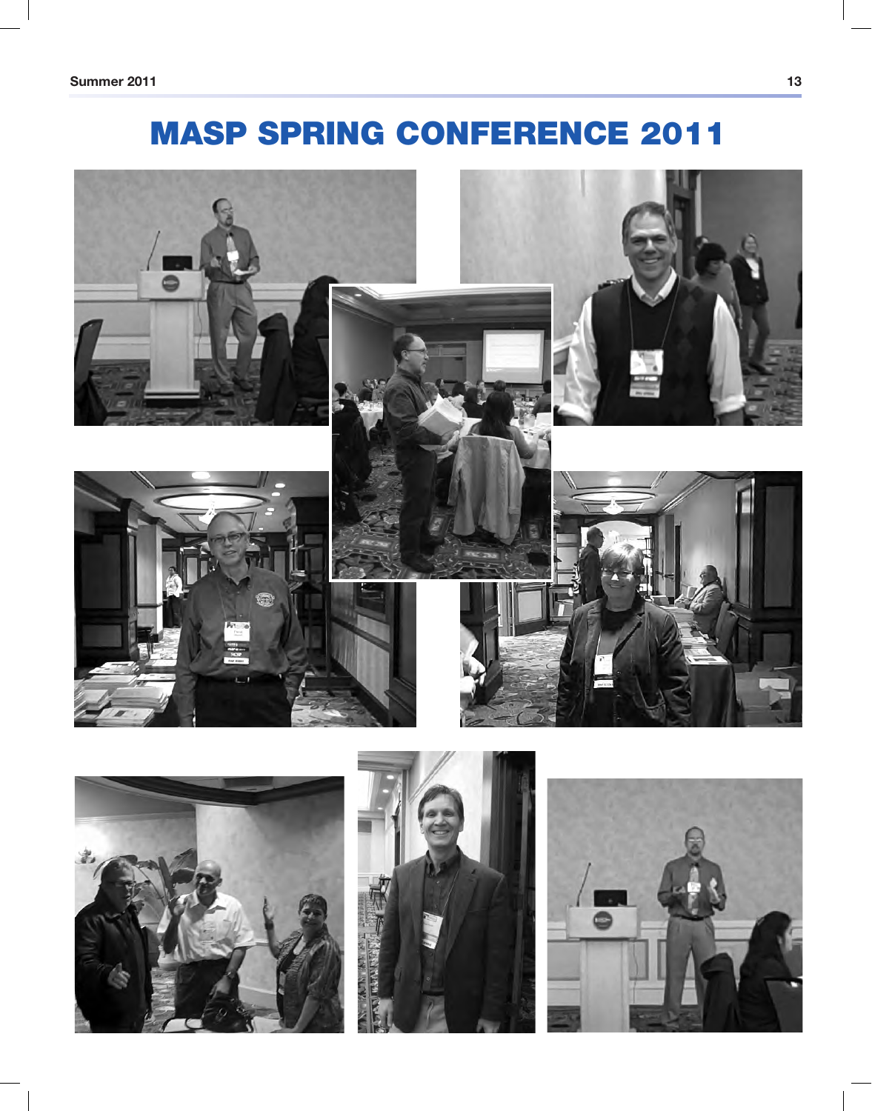# MASP SPRING CONFERENCE 2011







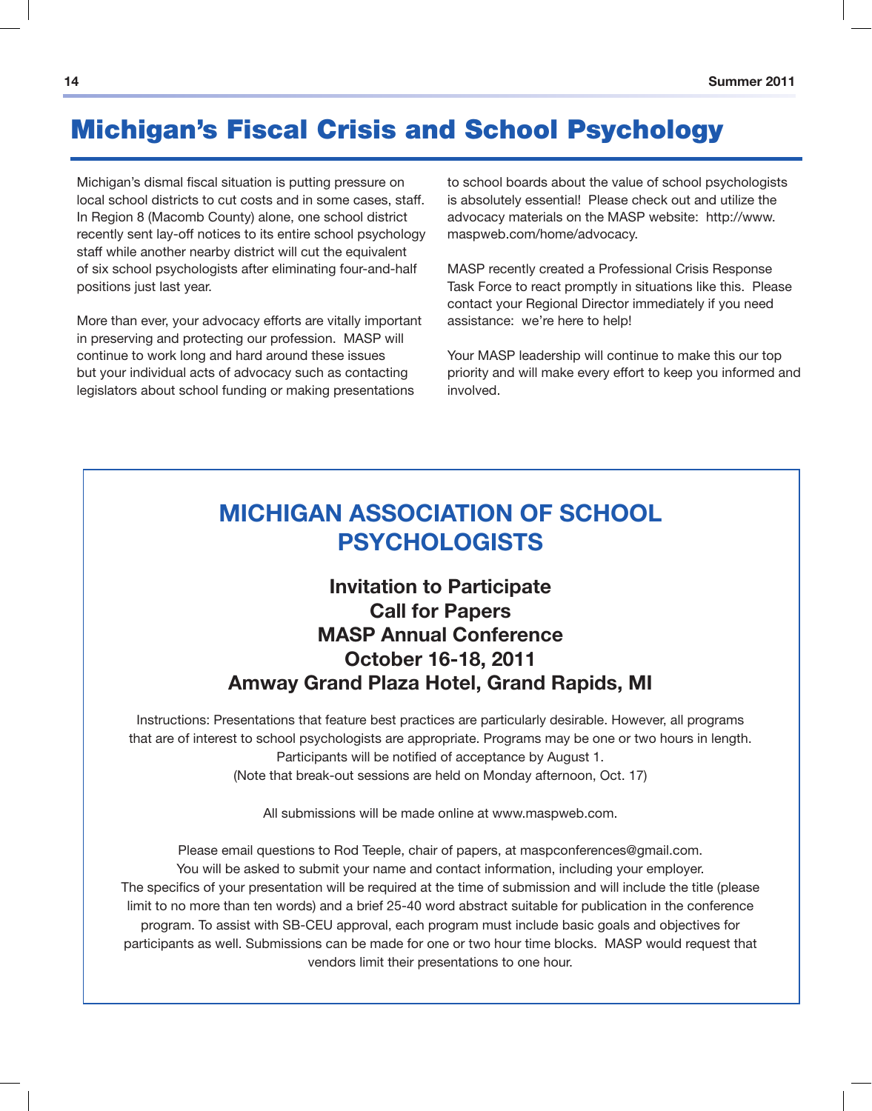### Michigan's Fiscal Crisis and School Psychology

Michigan's dismal fiscal situation is putting pressure on local school districts to cut costs and in some cases, staff. In Region 8 (Macomb County) alone, one school district recently sent lay-off notices to its entire school psychology staff while another nearby district will cut the equivalent of six school psychologists after eliminating four-and-half positions just last year.

More than ever, your advocacy efforts are vitally important in preserving and protecting our profession. MASP will continue to work long and hard around these issues but your individual acts of advocacy such as contacting legislators about school funding or making presentations

to school boards about the value of school psychologists is absolutely essential! Please check out and utilize the advocacy materials on the MASP website: http://www. maspweb.com/home/advocacy.

MASP recently created a Professional Crisis Response Task Force to react promptly in situations like this. Please contact your Regional Director immediately if you need assistance: we're here to help!

Your MASP leadership will continue to make this our top priority and will make every effort to keep you informed and involved.

### **MICHIGAN ASSOCIATION OF SCHOOL PSYCHOLOGISTS**

### **Invitation to Participate Call for Papers MASP Annual Conference October 16-18, 2011 Amway Grand Plaza Hotel, Grand Rapids, MI**

Instructions: Presentations that feature best practices are particularly desirable. However, all programs that are of interest to school psychologists are appropriate. Programs may be one or two hours in length. Participants will be notified of acceptance by August 1. (Note that break-out sessions are held on Monday afternoon, Oct. 17)

All submissions will be made online at www.maspweb.com.

Please email questions to Rod Teeple, chair of papers, at maspconferences@gmail.com. You will be asked to submit your name and contact information, including your employer. The specifics of your presentation will be required at the time of submission and will include the title (please limit to no more than ten words) and a brief 25-40 word abstract suitable for publication in the conference program. To assist with SB-CEU approval, each program must include basic goals and objectives for participants as well. Submissions can be made for one or two hour time blocks. MASP would request that vendors limit their presentations to one hour.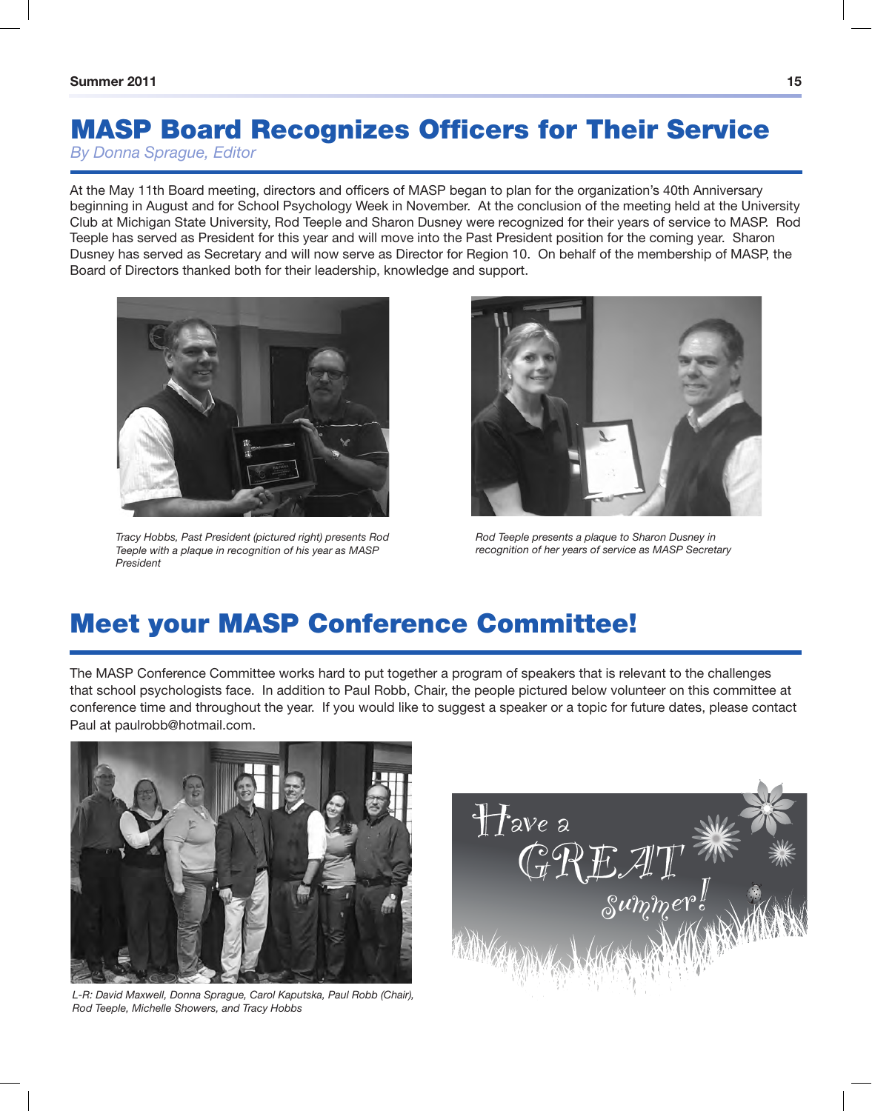## MASP Board Recognizes Officers for Their Service

*By Donna Sprague, Editor*

At the May 11th Board meeting, directors and officers of MASP began to plan for the organization's 40th Anniversary beginning in August and for School Psychology Week in November. At the conclusion of the meeting held at the University Club at Michigan State University, Rod Teeple and Sharon Dusney were recognized for their years of service to MASP. Rod Teeple has served as President for this year and will move into the Past President position for the coming year. Sharon Dusney has served as Secretary and will now serve as Director for Region 10. On behalf of the membership of MASP, the Board of Directors thanked both for their leadership, knowledge and support.



*Tracy Hobbs, Past President (pictured right) presents Rod Teeple with a plaque in recognition of his year as MASP President*



*Rod Teeple presents a plaque to Sharon Dusney in recognition of her years of service as MASP Secretary*

## Meet your MASP Conference Committee!

The MASP Conference Committee works hard to put together a program of speakers that is relevant to the challenges that school psychologists face. In addition to Paul Robb, Chair, the people pictured below volunteer on this committee at conference time and throughout the year. If you would like to suggest a speaker or a topic for future dates, please contact Paul at paulrobb@hotmail.com.



*L-R: David Maxwell, Donna Sprague, Carol Kaputska, Paul Robb (Chair), Rod Teeple, Michelle Showers, and Tracy Hobbs*